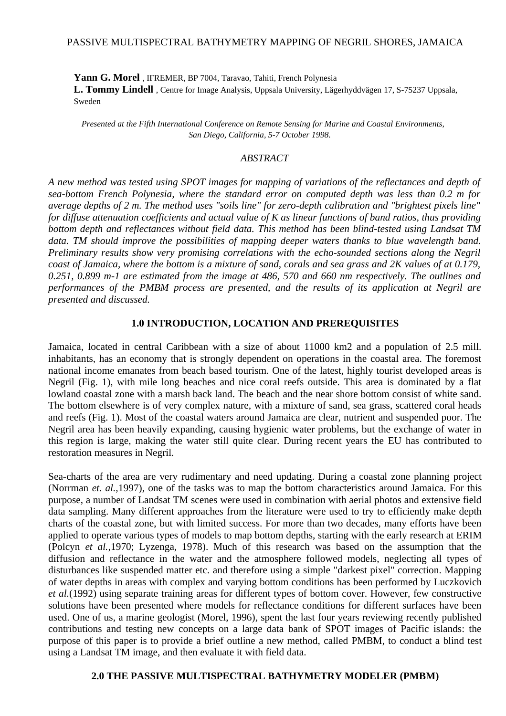### PASSIVE MULTISPECTRAL BATHYMETRY MAPPING OF NEGRIL SHORES, JAMAICA

**Yann G. Morel** , IFREMER, BP 7004, Taravao, Tahiti, French Polynesia **L. Tommy Lindell** , Centre for Image Analysis, Uppsala University, Lägerhyddvägen 17, S-75237 Uppsala, Sweden

*Presented at the Fifth International Conference on Remote Sensing for Marine and Coastal Environments, San Diego, California, 5-7 October 1998.* 

### *ABSTRACT*

*A new method was tested using SPOT images for mapping of variations of the reflectances and depth of sea-bottom French Polynesia, where the standard error on computed depth was less than 0.2 m for average depths of 2 m. The method uses "soils line" for zero-depth calibration and "brightest pixels line" for diffuse attenuation coefficients and actual value of K as linear functions of band ratios, thus providing bottom depth and reflectances without field data. This method has been blind-tested using Landsat TM data. TM should improve the possibilities of mapping deeper waters thanks to blue wavelength band. Preliminary results show very promising correlations with the echo-sounded sections along the Negril coast of Jamaica, where the bottom is a mixture of sand, corals and sea grass and 2K values of at 0.179, 0.251, 0.899 m-1 are estimated from the image at 486, 570 and 660 nm respectively. The outlines and performances of the PMBM process are presented, and the results of its application at Negril are presented and discussed.*

#### **1.0 INTRODUCTION, LOCATION AND PREREQUISITES**

Jamaica, located in central Caribbean with a size of about 11000 km2 and a population of 2.5 mill. inhabitants, has an economy that is strongly dependent on operations in the coastal area. The foremost national income emanates from beach based tourism. One of the latest, highly tourist developed areas is Negril (Fig. 1), with mile long beaches and nice coral reefs outside. This area is dominated by a flat lowland coastal zone with a marsh back land. The beach and the near shore bottom consist of white sand. The bottom elsewhere is of very complex nature, with a mixture of sand, sea grass, scattered coral heads and reefs (Fig. 1). Most of the coastal waters around Jamaica are clear, nutrient and suspended poor. The Negril area has been heavily expanding, causing hygienic water problems, but the exchange of water in this region is large, making the water still quite clear. During recent years the EU has contributed to restoration measures in Negril.

Sea-charts of the area are very rudimentary and need updating. During a coastal zone planning project (Norrman *et. al.,*1997), one of the tasks was to map the bottom characteristics around Jamaica. For this purpose, a number of Landsat TM scenes were used in combination with aerial photos and extensive field data sampling. Many different approaches from the literature were used to try to efficiently make depth charts of the coastal zone, but with limited success. For more than two decades, many efforts have been applied to operate various types of models to map bottom depths, starting with the early research at ERIM (Polcyn *et al.,*1970; Lyzenga, 1978). Much of this research was based on the assumption that the diffusion and reflectance in the water and the atmosphere followed models, neglecting all types of disturbances like suspended matter etc. and therefore using a simple "darkest pixel" correction. Mapping of water depths in areas with complex and varying bottom conditions has been performed by Luczkovich *et al.*(1992) using separate training areas for different types of bottom cover. However, few constructive solutions have been presented where models for reflectance conditions for different surfaces have been used. One of us, a marine geologist (Morel, 1996), spent the last four years reviewing recently published contributions and testing new concepts on a large data bank of SPOT images of Pacific islands: the purpose of this paper is to provide a brief outline a new method, called PMBM, to conduct a blind test using a Landsat TM image, and then evaluate it with field data.

#### **2.0 THE PASSIVE MULTISPECTRAL BATHYMETRY MODELER (PMBM)**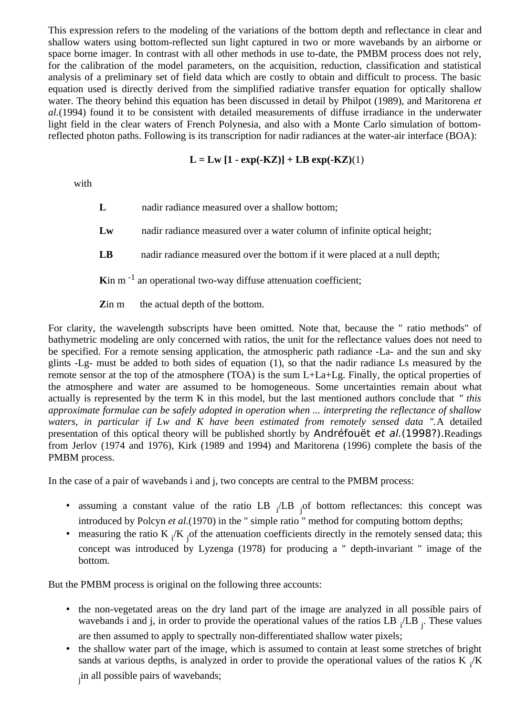This expression refers to the modeling of the variations of the bottom depth and reflectance in clear and shallow waters using bottom-reflected sun light captured in two or more wavebands by an airborne or space borne imager. In contrast with all other methods in use to-date, the PMBM process does not rely, for the calibration of the model parameters, on the acquisition, reduction, classification and statistical analysis of a preliminary set of field data which are costly to obtain and difficult to process. The basic equation used is directly derived from the simplified radiative transfer equation for optically shallow water. The theory behind this equation has been discussed in detail by Philpot (1989), and Maritorena *et al.*(1994) found it to be consistent with detailed measurements of diffuse irradiance in the underwater light field in the clear waters of French Polynesia, and also with a Monte Carlo simulation of bottomreflected photon paths. Following is its transcription for nadir radiances at the water-air interface (BOA):

# **L = Lw [1 - exp(-KZ)] + LB exp(-KZ)**(1)

with

**L** nadir radiance measured over a shallow bottom;

- **Lw** nadir radiance measured over a water column of infinite optical height;
- **LB** nadir radiance measured over the bottom if it were placed at a null depth;

**K**in m<sup>-1</sup> an operational two-way diffuse attenuation coefficient;

**Z**in m the actual depth of the bottom.

For clarity, the wavelength subscripts have been omitted. Note that, because the " ratio methods" of bathymetric modeling are only concerned with ratios, the unit for the reflectance values does not need to be specified. For a remote sensing application, the atmospheric path radiance -La- and the sun and sky glints -Lg- must be added to both sides of equation (1), so that the nadir radiance Ls measured by the remote sensor at the top of the atmosphere (TOA) is the sum L+La+Lg. Finally, the optical properties of the atmosphere and water are assumed to be homogeneous. Some uncertainties remain about what actually is represented by the term K in this model, but the last mentioned authors conclude that *" this approximate formulae can be safely adopted in operation when ... interpreting the reflectance of shallow waters, in particular if Lw and K have been estimated from remotely sensed data ".*A detailed presentation of this optical theory will be published shortly by Andréfouët et al.(1998?).Readings from Jerlov (1974 and 1976), Kirk (1989 and 1994) and Maritorena (1996) complete the basis of the PMBM process.

In the case of a pair of wavebands i and j, two concepts are central to the PMBM process:

- assuming a constant value of the ratio  $LB$   $_1/LB$   $_1$  of bottom reflectances: this concept was introduced by Polcyn *et al.*(1970) in the " simple ratio " method for computing bottom depths;
- measuring the ratio K  $_i/K$  of the attenuation coefficients directly in the remotely sensed data; this concept was introduced by Lyzenga (1978) for producing a " depth-invariant " image of the bottom.

But the PMBM process is original on the following three accounts:

- the non-vegetated areas on the dry land part of the image are analyzed in all possible pairs of wavebands i and j, in order to provide the operational values of the ratios LB  $_i$ /LB  $_j$ . These values are then assumed to apply to spectrally non-differentiated shallow water pixels;
- the shallow water part of the image, which is assumed to contain at least some stretches of bright sands at various depths, is analyzed in order to provide the operational values of the ratios K  $_i$ /K j in all possible pairs of wavebands;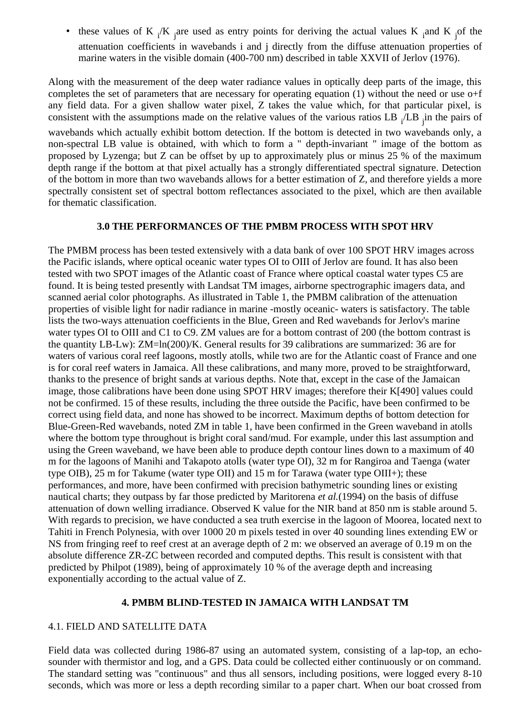• these values of K  $_i/K$  are used as entry points for deriving the actual values K and K  $_i$  of the attenuation coefficients in wavebands i and j directly from the diffuse attenuation properties of marine waters in the visible domain (400-700 nm) described in table XXVII of Jerlov (1976).

Along with the measurement of the deep water radiance values in optically deep parts of the image, this completes the set of parameters that are necessary for operating equation (1) without the need or use o+f any field data. For a given shallow water pixel, Z takes the value which, for that particular pixel, is consistent with the assumptions made on the relative values of the various ratios LB  $_i$ /LB  $_j$ in the pairs of

wavebands which actually exhibit bottom detection. If the bottom is detected in two wavebands only, a non-spectral LB value is obtained, with which to form a " depth-invariant " image of the bottom as proposed by Lyzenga; but Z can be offset by up to approximately plus or minus 25 % of the maximum depth range if the bottom at that pixel actually has a strongly differentiated spectral signature. Detection of the bottom in more than two wavebands allows for a better estimation of Z, and therefore yields a more spectrally consistent set of spectral bottom reflectances associated to the pixel, which are then available for thematic classification.

### **3.0 THE PERFORMANCES OF THE PMBM PROCESS WITH SPOT HRV**

The PMBM process has been tested extensively with a data bank of over 100 SPOT HRV images across the Pacific islands, where optical oceanic water types OI to OIII of Jerlov are found. It has also been tested with two SPOT images of the Atlantic coast of France where optical coastal water types C5 are found. It is being tested presently with Landsat TM images, airborne spectrographic imagers data, and scanned aerial color photographs. As illustrated in Table 1, the PMBM calibration of the attenuation properties of visible light for nadir radiance in marine -mostly oceanic- waters is satisfactory. The table lists the two-ways attenuation coefficients in the Blue, Green and Red wavebands for Jerlov's marine water types OI to OIII and C1 to C9. ZM values are for a bottom contrast of 200 (the bottom contrast is the quantity LB-Lw): ZM=ln(200)/K. General results for 39 calibrations are summarized: 36 are for waters of various coral reef lagoons, mostly atolls, while two are for the Atlantic coast of France and one is for coral reef waters in Jamaica. All these calibrations, and many more, proved to be straightforward, thanks to the presence of bright sands at various depths. Note that, except in the case of the Jamaican image, those calibrations have been done using SPOT HRV images; therefore their K[490] values could not be confirmed. 15 of these results, including the three outside the Pacific, have been confirmed to be correct using field data, and none has showed to be incorrect. Maximum depths of bottom detection for Blue-Green-Red wavebands, noted ZM in table 1, have been confirmed in the Green waveband in atolls where the bottom type throughout is bright coral sand/mud. For example, under this last assumption and using the Green waveband, we have been able to produce depth contour lines down to a maximum of 40 m for the lagoons of Manihi and Takapoto atolls (water type OI), 32 m for Rangiroa and Taenga (water type OIB), 25 m for Takume (water type OII) and 15 m for Tarawa (water type OIII+); these performances, and more, have been confirmed with precision bathymetric sounding lines or existing nautical charts; they outpass by far those predicted by Maritorena *et al.*(1994) on the basis of diffuse attenuation of down welling irradiance. Observed K value for the NIR band at 850 nm is stable around 5. With regards to precision, we have conducted a sea truth exercise in the lagoon of Moorea, located next to Tahiti in French Polynesia, with over 1000 20 m pixels tested in over 40 sounding lines extending EW or NS from fringing reef to reef crest at an average depth of 2 m: we observed an average of 0.19 m on the absolute difference ZR-ZC between recorded and computed depths. This result is consistent with that predicted by Philpot (1989), being of approximately 10 % of the average depth and increasing exponentially according to the actual value of Z.

# **4. PMBM BLIND-TESTED IN JAMAICA WITH LANDSAT TM**

### 4.1. FIELD AND SATELLITE DATA

Field data was collected during 1986-87 using an automated system, consisting of a lap-top, an echosounder with thermistor and log, and a GPS. Data could be collected either continuously or on command. The standard setting was "continuous" and thus all sensors, including positions, were logged every 8-10 seconds, which was more or less a depth recording similar to a paper chart. When our boat crossed from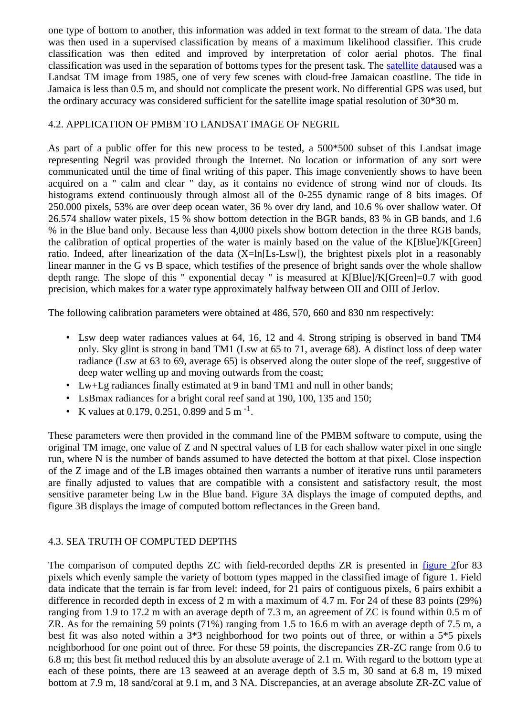one type of bottom to another, this information was added in text format to the stream of data. The data was then used in a supervised classification by means of a maximum likelihood classifier. This crude classification was then edited and improved by interpretation of color aerial photos. The final classification was used in the separation of bottoms types for the present task. The satellite dataused was a Landsat TM image from 1985, one of very few scenes with cloud-free Jamaican coastline. The tide in Jamaica is less than 0.5 m, and should not complicate the present work. No differential GPS was used, but the ordinary accuracy was considered sufficient for the satellite image spatial resolution of 30\*30 m.

# 4.2. APPLICATION OF PMBM TO LANDSAT IMAGE OF NEGRIL

As part of a public offer for this new process to be tested, a 500\*500 subset of this Landsat image representing Negril was provided through the Internet. No location or information of any sort were communicated until the time of final writing of this paper. This image conveniently shows to have been acquired on a " calm and clear " day, as it contains no evidence of strong wind nor of clouds. Its histograms extend continuously through almost all of the 0-255 dynamic range of 8 bits images. Of 250.000 pixels, 53% are over deep ocean water, 36 % over dry land, and 10.6 % over shallow water. Of 26.574 shallow water pixels, 15 % show bottom detection in the BGR bands, 83 % in GB bands, and 1.6 % in the Blue band only. Because less than 4,000 pixels show bottom detection in the three RGB bands, the calibration of optical properties of the water is mainly based on the value of the K[Blue]/K[Green] ratio. Indeed, after linearization of the data  $(X=ln[Ls-Lsw])$ , the brightest pixels plot in a reasonably linear manner in the G vs B space, which testifies of the presence of bright sands over the whole shallow depth range. The slope of this " exponential decay " is measured at K[Blue]/K[Green]=0.7 with good precision, which makes for a water type approximately halfway between OII and OIII of Jerlov.

The following calibration parameters were obtained at 486, 570, 660 and 830 nm respectively:

- Lsw deep water radiances values at 64, 16, 12 and 4. Strong striping is observed in band TM4 only. Sky glint is strong in band TM1 (Lsw at 65 to 71, average 68). A distinct loss of deep water radiance (Lsw at 63 to 69, average 65) is observed along the outer slope of the reef, suggestive of deep water welling up and moving outwards from the coast;
- Lw+Lg radiances finally estimated at 9 in band TM1 and null in other bands;
- LsBmax radiances for a bright coral reef sand at 190, 100, 135 and 150;
- K values at 0.179, 0.251, 0.899 and 5 m<sup>-1</sup>.

These parameters were then provided in the command line of the PMBM software to compute, using the original TM image, one value of Z and N spectral values of LB for each shallow water pixel in one single run, where N is the number of bands assumed to have detected the bottom at that pixel. Close inspection of the Z image and of the LB images obtained then warrants a number of iterative runs until parameters are finally adjusted to values that are compatible with a consistent and satisfactory result, the most sensitive parameter being Lw in the Blue band. Figure 3A displays the image of computed depths, and figure 3B displays the image of computed bottom reflectances in the Green band.

# 4.3. SEA TRUTH OF COMPUTED DEPTHS

The comparison of computed depths ZC with field-recorded depths ZR is presented in figure 2for 83 pixels which evenly sample the variety of bottom types mapped in the classified image of figure 1. Field data indicate that the terrain is far from level: indeed, for 21 pairs of contiguous pixels, 6 pairs exhibit a difference in recorded depth in excess of 2 m with a maximum of 4.7 m. For 24 of these 83 points (29%) ranging from 1.9 to 17.2 m with an average depth of 7.3 m, an agreement of ZC is found within 0.5 m of ZR. As for the remaining 59 points (71%) ranging from 1.5 to 16.6 m with an average depth of 7.5 m, a best fit was also noted within a 3\*3 neighborhood for two points out of three, or within a 5\*5 pixels neighborhood for one point out of three. For these 59 points, the discrepancies ZR-ZC range from 0.6 to 6.8 m; this best fit method reduced this by an absolute average of 2.1 m. With regard to the bottom type at each of these points, there are 13 seaweed at an average depth of 3.5 m, 30 sand at 6.8 m, 19 mixed bottom at 7.9 m, 18 sand/coral at 9.1 m, and 3 NA. Discrepancies, at an average absolute ZR-ZC value of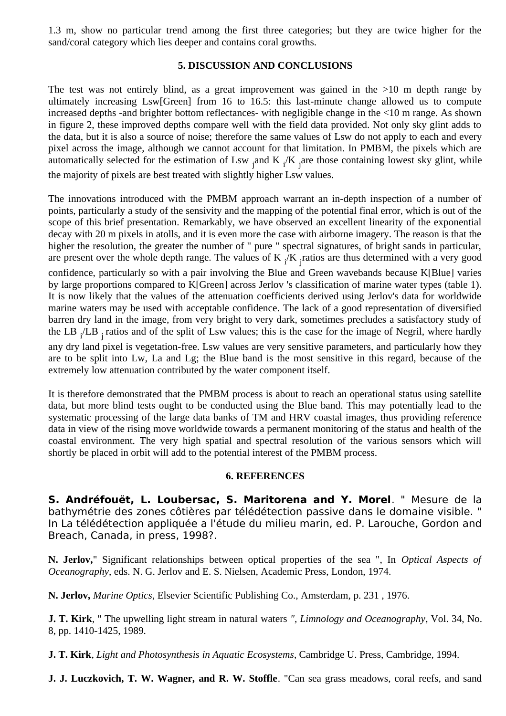1.3 m, show no particular trend among the first three categories; but they are twice higher for the sand/coral category which lies deeper and contains coral growths.

# **5. DISCUSSION AND CONCLUSIONS**

The test was not entirely blind, as a great improvement was gained in the  $>10$  m depth range by ultimately increasing Lsw[Green] from 16 to 16.5: this last-minute change allowed us to compute increased depths -and brighter bottom reflectances- with negligible change in the <10 m range. As shown in figure 2, these improved depths compare well with the field data provided. Not only sky glint adds to the data, but it is also a source of noise; therefore the same values of Lsw do not apply to each and every pixel across the image, although we cannot account for that limitation. In PMBM, the pixels which are automatically selected for the estimation of Lsw  $_{\rm j}$ and K  $_{\rm i}$ /K  $_{\rm j}$ are those containing lowest sky glint, while the majority of pixels are best treated with slightly higher Lsw values.

The innovations introduced with the PMBM approach warrant an in-depth inspection of a number of points, particularly a study of the sensivity and the mapping of the potential final error, which is out of the scope of this brief presentation. Remarkably, we have observed an excellent linearity of the exponential decay with 20 m pixels in atolls, and it is even more the case with airborne imagery. The reason is that the higher the resolution, the greater the number of " pure " spectral signatures, of bright sands in particular, are present over the whole depth range. The values of K  $_i/K$  <sub>j</sub>ratios are thus determined with a very good confidence, particularly so with a pair involving the Blue and Green wavebands because K[Blue] varies by large proportions compared to K[Green] across Jerlov 's classification of marine water types (table 1). It is now likely that the values of the attenuation coefficients derived using Jerlov's data for worldwide marine waters may be used with acceptable confidence. The lack of a good representation of diversified barren dry land in the image, from very bright to very dark, sometimes precludes a satisfactory study of the LB <sub>i</sub>/LB <sub>j</sub> ratios and of the split of Lsw values; this is the case for the image of Negril, where hardly any dry land pixel is vegetation-free. Lsw values are very sensitive parameters, and particularly how they

are to be split into Lw, La and Lg; the Blue band is the most sensitive in this regard, because of the extremely low attenuation contributed by the water component itself.

It is therefore demonstrated that the PMBM process is about to reach an operational status using satellite data, but more blind tests ought to be conducted using the Blue band. This may potentially lead to the systematic processing of the large data banks of TM and HRV coastal images, thus providing reference data in view of the rising move worldwide towards a permanent monitoring of the status and health of the coastal environment. The very high spatial and spectral resolution of the various sensors which will shortly be placed in orbit will add to the potential interest of the PMBM process.

# **6. REFERENCES**

**S. Andréfouët, L. Loubersac, S. Maritorena and Y. Morel**. " Mesure de la bathymétrie des zones côtières par télédétection passive dans le domaine visible. " In La télédétection appliquée a l'étude du milieu marin, ed. P. Larouche, Gordon and Breach, Canada, in press, 1998?.

**N. Jerlov,**" Significant relationships between optical properties of the sea ", In *Optical Aspects of Oceanography*, eds. N. G. Jerlov and E. S. Nielsen, Academic Press, London, 1974.

**N. Jerlov,** *Marine Optics*, Elsevier Scientific Publishing Co., Amsterdam, p. 231 , 1976.

**J. T. Kirk**, " The upwelling light stream in natural waters *", Limnology and Oceanography*, Vol. 34, No. 8, pp. 1410-1425, 1989.

**J. T. Kirk**, *Light and Photosynthesis in Aquatic Ecosystems*, Cambridge U. Press, Cambridge, 1994.

**J. J. Luczkovich, T. W. Wagner, and R. W. Stoffle**. "Can sea grass meadows, coral reefs, and sand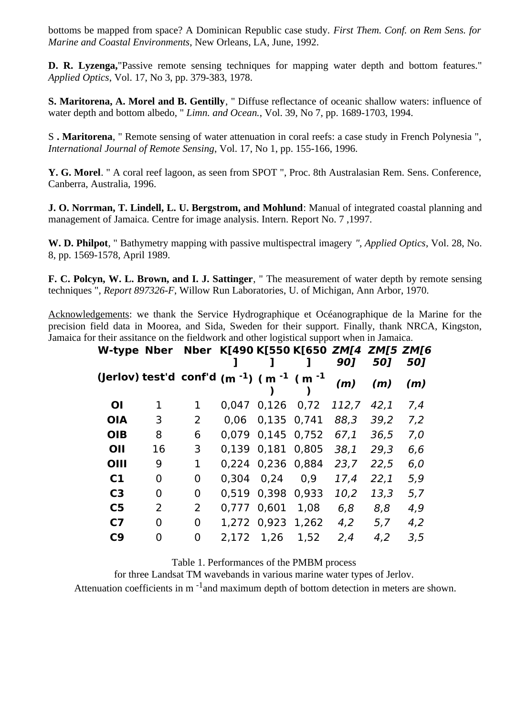bottoms be mapped from space? A Dominican Republic case study. *First Them. Conf. on Rem Sens. for Marine and Coastal Environments*, New Orleans, LA, June, 1992.

**D. R. Lyzenga,**"Passive remote sensing techniques for mapping water depth and bottom features." *Applied Optics*, Vol. 17, No 3, pp. 379-383, 1978.

**S. Maritorena, A. Morel and B. Gentilly**, " Diffuse reflectance of oceanic shallow waters: influence of water depth and bottom albedo, " *Limn. and Ocean.*, Vol. 39, No 7, pp. 1689-1703, 1994.

S **. Maritorena**, " Remote sensing of water attenuation in coral reefs: a case study in French Polynesia ", *International Journal of Remote Sensing*, Vol. 17, No 1, pp. 155-166, 1996.

**Y. G. Morel**. " A coral reef lagoon, as seen from SPOT ", Proc. 8th Australasian Rem. Sens. Conference, Canberra, Australia, 1996.

**J. O. Norrman, T. Lindell, L. U. Bergstrom, and Mohlund**: Manual of integrated coastal planning and management of Jamaica. Centre for image analysis. Intern. Report No. 7 ,1997.

**W. D. Philpot**, " Bathymetry mapping with passive multispectral imagery *", Applied Optics*, Vol. 28, No. 8, pp. 1569-1578, April 1989.

**F. C. Polcyn, W. L. Brown, and I. J. Sattinger**, " The measurement of water depth by remote sensing techniques ", *Report 897326-F*, Willow Run Laboratories, U. of Michigan, Ann Arbor, 1970.

Acknowledgements: we thank the Service Hydrographique et Océanographique de la Marine for the precision field data in Moorea, and Sida, Sweden for their support. Finally, thank NRCA, Kingston, Jamaica for their assitance on the fieldwork and other logistical support when in Jamaica.

| W-type Nber Nber K[490 K[550 K[650 ZM[4 ZM[5 ZM[6                           |          |   |       |              |       | 90]   | 50]  | 50] |
|-----------------------------------------------------------------------------|----------|---|-------|--------------|-------|-------|------|-----|
| (Jerlov) test'd conf'd (m <sup>-1</sup> ) (m <sup>-1</sup> (m <sup>-1</sup> |          |   |       |              |       | (m)   | (m)  | (m) |
| <b>OI</b>                                                                   | 1        | 1 | 0.047 | $0,126$ 0,72 |       | 112,7 | 42,1 | 7,4 |
| <b>OIA</b>                                                                  | 3        | 2 | 0.06  | 0,135 0,741  |       | 88,3  | 39,2 | 7,2 |
| <b>OIB</b>                                                                  | 8        | 6 | 0.079 | 0,145 0,752  |       | 67,1  | 36,5 | 7,0 |
| OII                                                                         | 16       | 3 | 0,139 | 0,181        | 0,805 | 38,1  | 29,3 | 6,6 |
| OIII                                                                        | 9        | 1 | 0,224 | 0,236 0,884  |       | 23,7  | 22,5 | 6,0 |
| C1                                                                          | 0        | 0 | 0,304 | 0,24         | 0.9   | 17,4  | 22,1 | 5,9 |
| C <sub>3</sub>                                                              | $\Omega$ | 0 | 0,519 | 0,398        | 0,933 | 10,2  | 13,3 | 5,7 |
| C <sub>5</sub>                                                              | 2        | 2 | 0.777 | 0,601        | 1,08  | 6,8   | 8,8  | 4,9 |
| C <sub>7</sub>                                                              | 0        | 0 | 1,272 | 0,923        | 1,262 | 4,2   | 5,7  | 4,2 |
| C <sub>9</sub>                                                              | 0        | 0 | 2,172 | 1,26         | 1,52  | 2,4   | 4,2  | 3,5 |

Table 1. Performances of the PMBM process

for three Landsat TM wavebands in various marine water types of Jerlov.

Attenuation coefficients in  $m<sup>-1</sup>$  and maximum depth of bottom detection in meters are shown.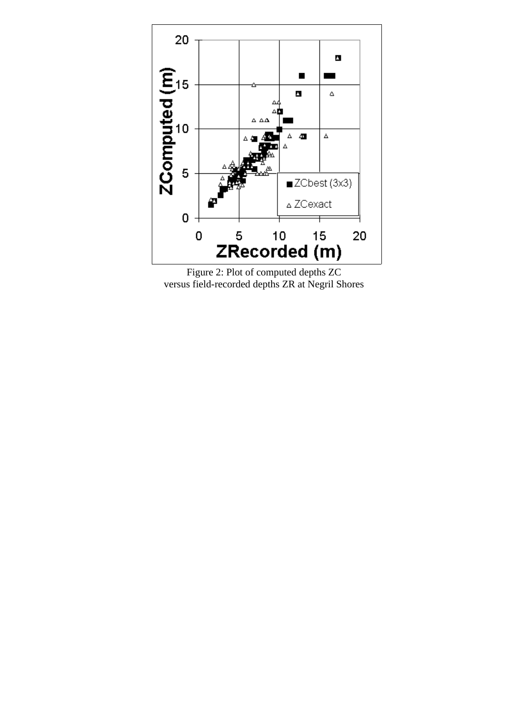

Figure 2: Plot of computed depths ZC versus field-recorded depths ZR at Negril Shores